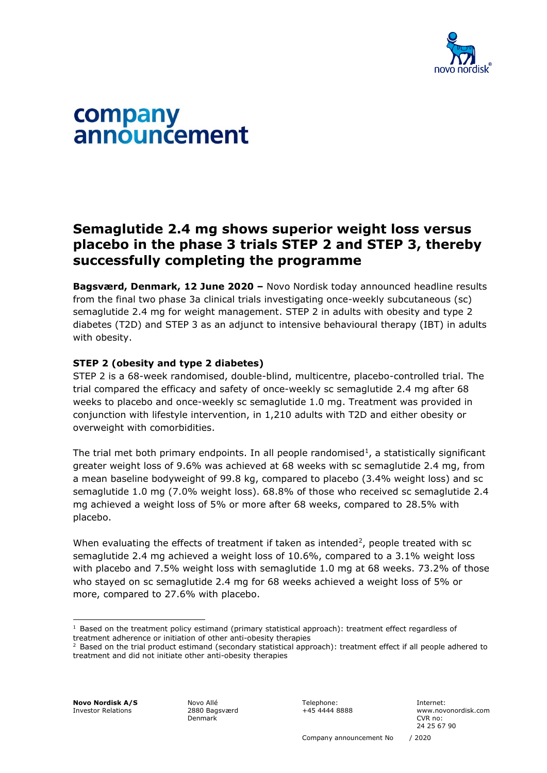

# company announcement

# **Semaglutide 2.4 mg shows superior weight loss versus placebo in the phase 3 trials STEP 2 and STEP 3, thereby successfully completing the programme**

**Bagsværd, Denmark, 12 June 2020 –** Novo Nordisk today announced headline results from the final two phase 3a clinical trials investigating once-weekly subcutaneous (sc) semaglutide 2.4 mg for weight management. STEP 2 in adults with obesity and type 2 diabetes (T2D) and STEP 3 as an adjunct to intensive behavioural therapy (IBT) in adults with obesity.

## **STEP 2 (obesity and type 2 diabetes)**

STEP 2 is a 68-week randomised, double-blind, multicentre, placebo-controlled trial. The trial compared the efficacy and safety of once-weekly sc semaglutide 2.4 mg after 68 weeks to placebo and once-weekly sc semaglutide 1.0 mg. Treatment was provided in conjunction with lifestyle intervention, in 1,210 adults with T2D and either obesity or overweight with comorbidities.

The trial met both primary endpoints. In all people randomised<sup>1</sup>, a statistically significant greater weight loss of 9.6% was achieved at 68 weeks with sc semaglutide 2.4 mg, from a mean baseline bodyweight of 99.8 kg, compared to placebo (3.4% weight loss) and sc semaglutide 1.0 mg (7.0% weight loss). 68.8% of those who received sc semaglutide 2.4 mg achieved a weight loss of 5% or more after 68 weeks, compared to 28.5% with placebo.

When evaluating the effects of treatment if taken as intended<sup>2</sup>, people treated with sc semaglutide 2.4 mg achieved a weight loss of 10.6%, compared to a 3.1% weight loss with placebo and 7.5% weight loss with semaglutide 1.0 mg at 68 weeks. 73.2% of those who stayed on sc semaglutide 2.4 mg for 68 weeks achieved a weight loss of 5% or more, compared to 27.6% with placebo.

**Novo Nordisk A/S** Investor Relations

Novo Allé 2880 Bagsværd Denmark

Telephone: +45 4444 8888

 $1$  Based on the treatment policy estimand (primary statistical approach): treatment effect regardless of treatment adherence or initiation of other anti-obesity therapies

 $2$  Based on the trial product estimand (secondary statistical approach): treatment effect if all people adhered to treatment and did not initiate other anti-obesity therapies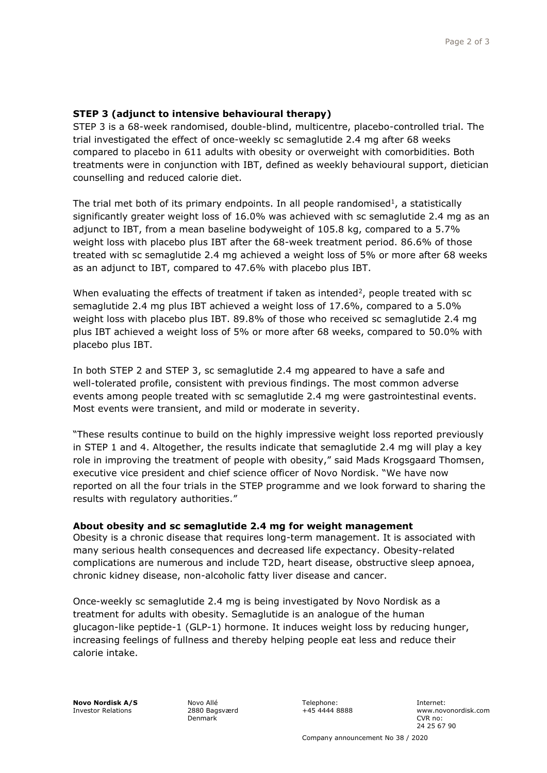### **STEP 3 (adjunct to intensive behavioural therapy)**

STEP 3 is a 68-week randomised, double-blind, multicentre, placebo-controlled trial. The trial investigated the effect of once-weekly sc semaglutide 2.4 mg after 68 weeks compared to placebo in 611 adults with obesity or overweight with comorbidities. Both treatments were in conjunction with IBT, defined as weekly behavioural support, dietician counselling and reduced calorie diet.

The trial met both of its primary endpoints. In all people randomised<sup>1</sup>, a statistically significantly greater weight loss of 16.0% was achieved with sc semaglutide 2.4 mg as an adjunct to IBT, from a mean baseline bodyweight of 105.8 kg, compared to a 5.7% weight loss with placebo plus IBT after the 68-week treatment period. 86.6% of those treated with sc semaglutide 2.4 mg achieved a weight loss of 5% or more after 68 weeks as an adjunct to IBT, compared to 47.6% with placebo plus IBT.

When evaluating the effects of treatment if taken as intended<sup>2</sup>, people treated with sc semaglutide 2.4 mg plus IBT achieved a weight loss of 17.6%, compared to a 5.0% weight loss with placebo plus IBT. 89.8% of those who received sc semaglutide 2.4 mg plus IBT achieved a weight loss of 5% or more after 68 weeks, compared to 50.0% with placebo plus IBT.

In both STEP 2 and STEP 3, sc semaglutide 2.4 mg appeared to have a safe and well-tolerated profile, consistent with previous findings. The most common adverse events among people treated with sc semaglutide 2.4 mg were gastrointestinal events. Most events were transient, and mild or moderate in severity.

"These results continue to build on the highly impressive weight loss reported previously in STEP 1 and 4. Altogether, the results indicate that semaglutide 2.4 mg will play a key role in improving the treatment of people with obesity," said Mads Krogsgaard Thomsen, executive vice president and chief science officer of Novo Nordisk. "We have now reported on all the four trials in the STEP programme and we look forward to sharing the results with regulatory authorities."

#### **About obesity and sc semaglutide 2.4 mg for weight management**

Obesity is a chronic disease that requires long-term management. It is associated with many serious health consequences and decreased life expectancy. Obesity-related complications are numerous and include T2D, heart disease, obstructive sleep apnoea, chronic kidney disease, non-alcoholic fatty liver disease and cancer.

Once-weekly sc semaglutide 2.4 mg is being investigated by Novo Nordisk as a treatment for adults with obesity. Semaglutide is an analogue of the human glucagon-like peptide-1 (GLP-1) hormone. It induces weight loss by reducing hunger, increasing feelings of fullness and thereby helping people eat less and reduce their calorie intake.

**Novo Nordisk A/S** Investor Relations

Novo Allé 2880 Bagsværd Denmark

Telephone: +45 4444 8888